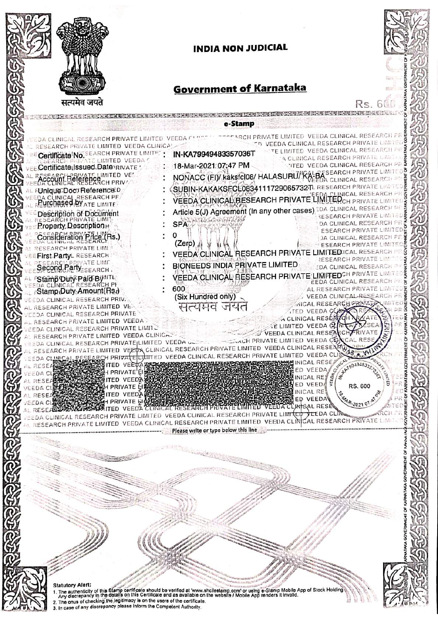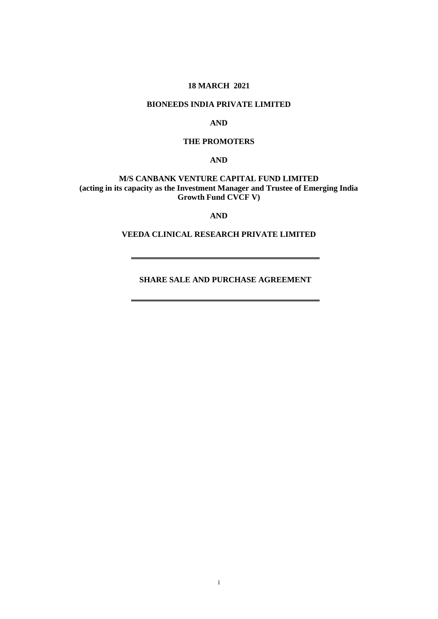## **18 MARCH 2021**

## **BIONEEDS INDIA PRIVATE LIMITED**

## **AND**

# **THE PROMOTERS**

**AND**

## **M/S CANBANK VENTURE CAPITAL FUND LIMITED (acting in its capacity as the Investment Manager and Trustee of Emerging India Growth Fund CVCF V)**

#### **AND**

## **VEEDA CLINICAL RESEARCH PRIVATE LIMITED**

**SHARE SALE AND PURCHASE AGREEMENT**

÷.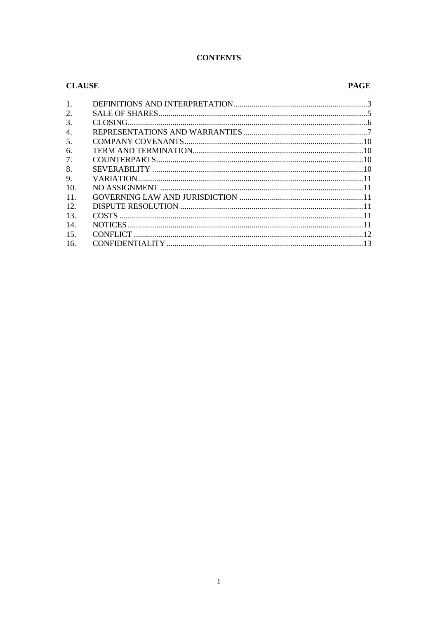#### **CONTENTS**

#### **CLAUSE PAGE** 1. 2.  $\overline{3}$ .  $\overline{4}$ .  $\overline{\mathbf{5}}$ 6.  $\overline{7}$  $\mathbf{8}$  $9<sub>1</sub>$ 10. 11.  $12.$  $13$  $14$ 15. 16.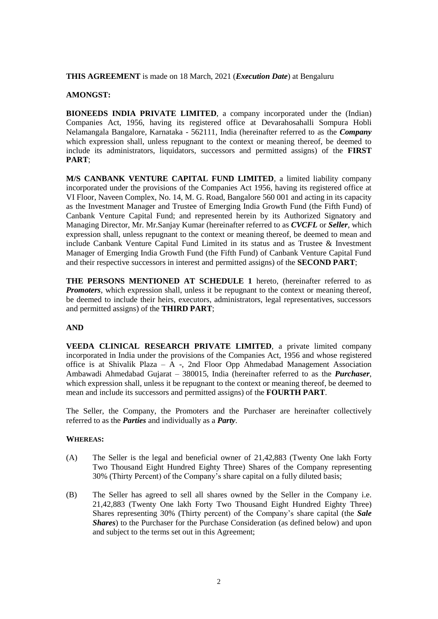**THIS AGREEMENT** is made on 18 March, 2021 (*Execution Date*) at Bengaluru

#### **AMONGST:**

**BIONEEDS INDIA PRIVATE LIMITED**, a company incorporated under the (Indian) Companies Act, 1956, having its registered office at Devarahosahalli Sompura Hobli Nelamangala Bangalore, Karnataka - 562111, India (hereinafter referred to as the *Company* which expression shall, unless repugnant to the context or meaning thereof, be deemed to include its administrators, liquidators, successors and permitted assigns) of the **FIRST PART**;

**M/S CANBANK VENTURE CAPITAL FUND LIMITED**, a limited liability company incorporated under the provisions of the Companies Act 1956, having its registered office at VI Floor, Naveen Complex, No. 14, M. G. Road, Bangalore 560 001 and acting in its capacity as the Investment Manager and Trustee of Emerging India Growth Fund (the Fifth Fund) of Canbank Venture Capital Fund; and represented herein by its Authorized Signatory and Managing Director, Mr. Mr.Sanjay Kumar (hereinafter referred to as *CVCFL* or *Seller*, which expression shall, unless repugnant to the context or meaning thereof, be deemed to mean and include Canbank Venture Capital Fund Limited in its status and as Trustee & Investment Manager of Emerging India Growth Fund (the Fifth Fund) of Canbank Venture Capital Fund and their respective successors in interest and permitted assigns) of the **SECOND PART**;

**THE PERSONS MENTIONED AT SCHEDULE 1** hereto, (hereinafter referred to as *Promoters*, which expression shall, unless it be repugnant to the context or meaning thereof, be deemed to include their heirs, executors, administrators, legal representatives, successors and permitted assigns) of the **THIRD PART**;

## **AND**

**VEEDA CLINICAL RESEARCH PRIVATE LIMITED**, a private limited company incorporated in India under the provisions of the Companies Act, 1956 and whose registered office is at Shivalik Plaza – A -, 2nd Floor Opp Ahmedabad Management Association Ambawadi Ahmedabad Gujarat – 380015, India (hereinafter referred to as the *Purchaser*, which expression shall, unless it be repugnant to the context or meaning thereof, be deemed to mean and include its successors and permitted assigns) of the **FOURTH PART**.

The Seller, the Company, the Promoters and the Purchaser are hereinafter collectively referred to as the *Parties* and individually as a *Party*.

#### **WHEREAS:**

- (A) The Seller is the legal and beneficial owner of 21,42,883 (Twenty One lakh Forty Two Thousand Eight Hundred Eighty Three) Shares of the Company representing 30% (Thirty Percent) of the Company's share capital on a fully diluted basis;
- (B) The Seller has agreed to sell all shares owned by the Seller in the Company i.e. 21,42,883 (Twenty One lakh Forty Two Thousand Eight Hundred Eighty Three) Shares representing 30% (Thirty percent) of the Company's share capital (the *Sale Shares*) to the Purchaser for the Purchase Consideration (as defined below) and upon and subject to the terms set out in this Agreement;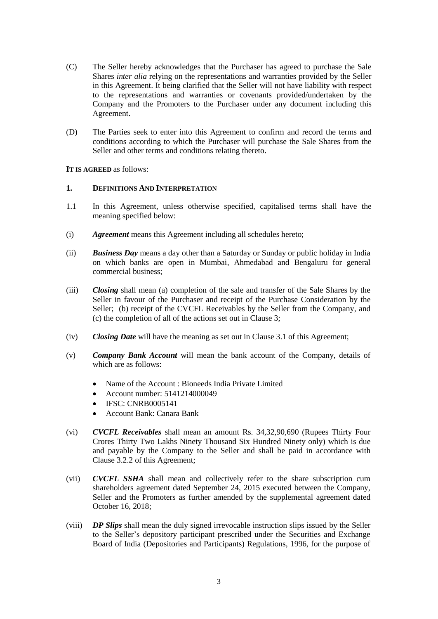- (C) The Seller hereby acknowledges that the Purchaser has agreed to purchase the Sale Shares *inter alia* relying on the representations and warranties provided by the Seller in this Agreement. It being clarified that the Seller will not have liability with respect to the representations and warranties or covenants provided/undertaken by the Company and the Promoters to the Purchaser under any document including this Agreement.
- (D) The Parties seek to enter into this Agreement to confirm and record the terms and conditions according to which the Purchaser will purchase the Sale Shares from the Seller and other terms and conditions relating thereto.

**IT IS AGREED** as follows:

#### **1. DEFINITIONS AND INTERPRETATION**

- 1.1 In this Agreement, unless otherwise specified, capitalised terms shall have the meaning specified below:
- (i) *Agreement* means this Agreement including all schedules hereto;
- (ii) *Business Day* means a day other than a Saturday or Sunday or public holiday in India on which banks are open in Mumbai, Ahmedabad and Bengaluru for general commercial business;
- (iii) *Closing* shall mean (a) completion of the sale and transfer of the Sale Shares by the Seller in favour of the Purchaser and receipt of the Purchase Consideration by the Seller; (b) receipt of the CVCFL Receivables by the Seller from the Company, and (c) the completion of all of the actions set out in Clause [3;](#page-7-0)
- (iv) *Closing Date* will have the meaning as set out in Claus[e 3.1](#page-7-1) of this Agreement;
- (v) *Company Bank Account* will mean the bank account of the Company, details of which are as follows:
	- Name of the Account : Bioneeds India Private Limited
	- Account number: 5141214000049
	- $\bullet$  IFSC: CNRB0005141
	- Account Bank: Canara Bank
- (vi) *CVCFL Receivables* shall mean an amount Rs. 34,32,90,690 (Rupees Thirty Four Crores Thirty Two Lakhs Ninety Thousand Six Hundred Ninety only) which is due and payable by the Company to the Seller and shall be paid in accordance with Claus[e 3.2.2](#page-7-2) of this Agreement;
- (vii) *CVCFL SSHA* shall mean and collectively refer to the share subscription cum shareholders agreement dated September 24, 2015 executed between the Company, Seller and the Promoters as further amended by the supplemental agreement dated October 16, 2018;
- (viii) *DP Slips* shall mean the duly signed irrevocable instruction slips issued by the Seller to the Seller's depository participant prescribed under the Securities and Exchange Board of India (Depositories and Participants) Regulations, 1996, for the purpose of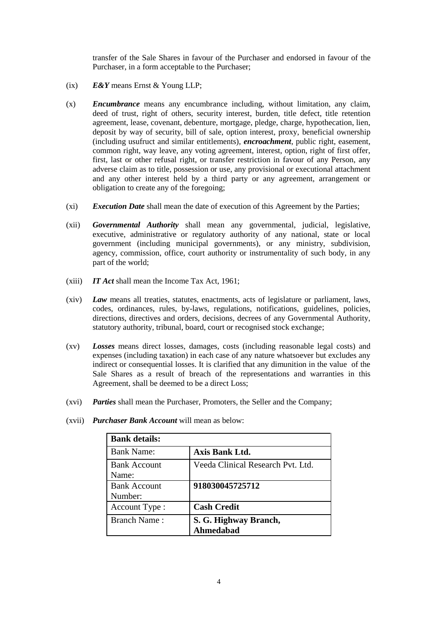transfer of the Sale Shares in favour of the Purchaser and endorsed in favour of the Purchaser, in a form acceptable to the Purchaser;

- (ix) *E&Y* means Ernst & Young LLP;
- (x) *Encumbrance* means any encumbrance including, without limitation, any claim, deed of trust, right of others, security interest, burden, title defect, title retention agreement, lease, covenant, debenture, mortgage, pledge, charge, hypothecation, lien, deposit by way of security, bill of sale, option interest, proxy, beneficial ownership (including usufruct and similar entitlements), *encroachment*, public right, easement, common right, way leave, any voting agreement, interest, option, right of first offer, first, last or other refusal right, or transfer restriction in favour of any Person, any adverse claim as to title, possession or use, any provisional or executional attachment and any other interest held by a third party or any agreement, arrangement or obligation to create any of the foregoing;
- (xi) *Execution Date* shall mean the date of execution of this Agreement by the Parties;
- (xii) *Governmental Authority* shall mean any governmental, judicial, legislative, executive, administrative or regulatory authority of any national, state or local government (including municipal governments), or any ministry, subdivision, agency, commission, office, court authority or instrumentality of such body, in any part of the world;
- (xiii) *IT Act* shall mean the Income Tax Act, 1961;
- (xiv) *Law* means all treaties, statutes, enactments, acts of legislature or parliament, laws, codes, ordinances, rules, by-laws, regulations, notifications, guidelines, policies, directions, directives and orders, decisions, decrees of any Governmental Authority, statutory authority, tribunal, board, court or recognised stock exchange;
- (xv) *Losses* means direct losses, damages, costs (including reasonable legal costs) and expenses (including taxation) in each case of any nature whatsoever but excludes any indirect or consequential losses. It is clarified that any dimunition in the value of the Sale Shares as a result of breach of the representations and warranties in this Agreement, shall be deemed to be a direct Loss;
- (xvi) *Parties* shall mean the Purchaser, Promoters, the Seller and the Company;

| <b>Bank details:</b>           |                                           |  |  |  |
|--------------------------------|-------------------------------------------|--|--|--|
| <b>Bank Name:</b>              | Axis Bank Ltd.                            |  |  |  |
| <b>Bank Account</b><br>Name:   | Veeda Clinical Research Pvt. Ltd.         |  |  |  |
| <b>Bank Account</b><br>Number: | 918030045725712                           |  |  |  |
| Account Type:                  | <b>Cash Credit</b>                        |  |  |  |
| <b>Branch Name:</b>            | S. G. Highway Branch,<br><b>Ahmedabad</b> |  |  |  |

(xvii) *Purchaser Bank Account* will mean as below: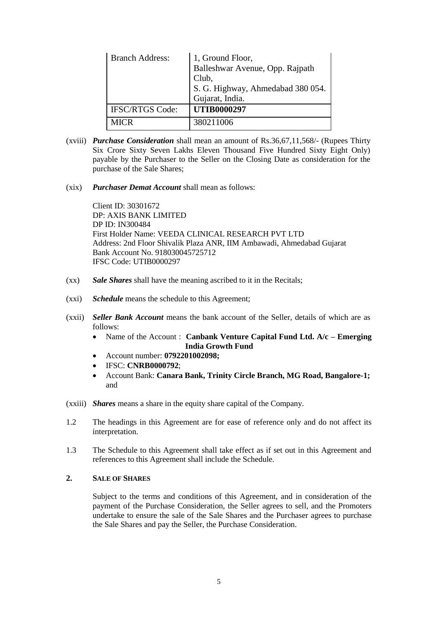| <b>Branch Address:</b> | 1, Ground Floor,<br>Balleshwar Avenue, Opp. Rajpath |  |
|------------------------|-----------------------------------------------------|--|
|                        | Club,                                               |  |
|                        | S. G. Highway, Ahmedabad 380 054.                   |  |
|                        | Gujarat, India.                                     |  |
| <b>IFSC/RTGS Code:</b> | <b>UTIB0000297</b>                                  |  |
| MICR                   | 380211006                                           |  |

- (xviii) *Purchase Consideration* shall mean an amount of Rs.36,67,11,568/- (Rupees Thirty Six Crore Sixty Seven Lakhs Eleven Thousand Five Hundred Sixty Eight Only) payable by the Purchaser to the Seller on the Closing Date as consideration for the purchase of the Sale Shares;
- (xix) *Purchaser Demat Account* shall mean as follows:

Client ID: 30301672 DP: AXIS BANK LIMITED DP ID: IN300484 First Holder Name: VEEDA CLINICAL RESEARCH PVT LTD Address: 2nd Floor Shivalik Plaza ANR, IIM Ambawadi, Ahmedabad Gujarat Bank Account No. 918030045725712 IFSC Code: UTIB0000297

- (xx) *Sale Shares* shall have the meaning ascribed to it in the Recitals;
- (xxi) *Schedule* means the schedule to this Agreement;
- (xxii) *Seller Bank Account* means the bank account of the Seller, details of which are as follows:
	- Name of the Account : **Canbank Venture Capital Fund Ltd. A/c Emerging India Growth Fund**
	- Account number: **0792201002098;**
	- IFSC: **CNRB0000792**;
	- Account Bank: **Canara Bank, Trinity Circle Branch, MG Road, Bangalore-1;**  and
- (xxiii) *Shares* means a share in the equity share capital of the Company.
- 1.2 The headings in this Agreement are for ease of reference only and do not affect its interpretation.
- 1.3 The Schedule to this Agreement shall take effect as if set out in this Agreement and references to this Agreement shall include the Schedule.

#### **2. SALE OF SHARES**

Subject to the terms and conditions of this Agreement, and in consideration of the payment of the Purchase Consideration, the Seller agrees to sell, and the Promoters undertake to ensure the sale of the Sale Shares and the Purchaser agrees to purchase the Sale Shares and pay the Seller, the Purchase Consideration.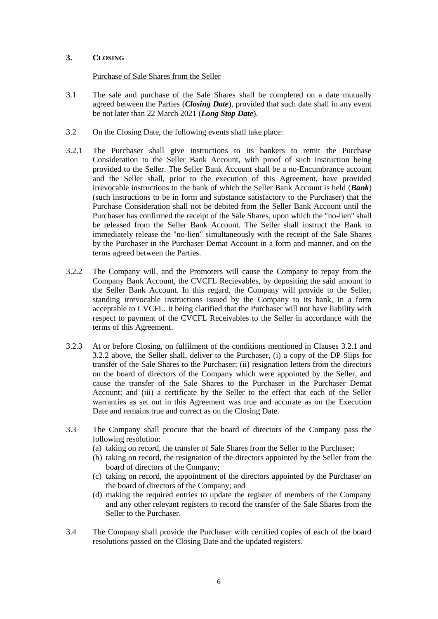## <span id="page-7-0"></span>**3. CLOSING**

Purchase of Sale Shares from the Seller

- <span id="page-7-1"></span>3.1 The sale and purchase of the Sale Shares shall be completed on a date mutually agreed between the Parties (*Closing Date*), provided that such date shall in any event be not later than 22 March 2021 (*Long Stop Date*).
- 3.2 On the Closing Date, the following events shall take place:
- <span id="page-7-3"></span>3.2.1 The Purchaser shall give instructions to its bankers to remit the Purchase Consideration to the Seller Bank Account, with proof of such instruction being provided to the Seller. The Seller Bank Account shall be a no-Encumbrance account and the Seller shall, prior to the execution of this Agreement, have provided irrevocable instructions to the bank of which the Seller Bank Account is held (*Bank*) (such instructions to be in form and substance satisfactory to the Purchaser) that the Purchase Consideration shall not be debited from the Seller Bank Account until the Purchaser has confirmed the receipt of the Sale Shares, upon which the "no-lien" shall be released from the Seller Bank Account. The Seller shall instruct the Bank to immediately release the "no-lien" simultaneously with the receipt of the Sale Shares by the Purchaser in the Purchaser Demat Account in a form and manner, and on the terms agreed between the Parties.
- <span id="page-7-2"></span>3.2.2 The Company will, and the Promoters will cause the Company to repay from the Company Bank Account, the CVCFL Recievables, by depositing the said amount to the Seller Bank Account. In this regard, the Company will provide to the Seller, standing irrevocable instructions issued by the Company to its bank, in a form acceptable to CVCFL. It being clarified that the Purchaser will not have liability with respect to payment of the CVCFL Receivables to the Seller in accordance with the terms of this Agreement.
- 3.2.3 At or before Closing, on fulfilment of the conditions mentioned in Clauses [3.2.1](#page-7-3) and [3.2.2](#page-7-2) above, the Seller shall, deliver to the Purchaser, (i) a copy of the DP Slips for transfer of the Sale Shares to the Purchaser; (ii) resignation letters from the directors on the board of directors of the Company which were appointed by the Seller, and cause the transfer of the Sale Shares to the Purchaser in the Purchaser Demat Account; and (iii) a certificate by the Seller to the effect that each of the Seller warranties as set out in this Agreement was true and accurate as on the Execution Date and remains true and correct as on the Closing Date.
- 3.3 The Company shall procure that the board of directors of the Company pass the following resolution:
	- (a) taking on record, the transfer of Sale Shares from the Seller to the Purchaser;
	- (b) taking on record, the resignation of the directors appointed by the Seller from the board of directors of the Company;
	- (c) taking on record, the appointment of the directors appointed by the Purchaser on the board of directors of the Company; and
	- (d) making the required entries to update the register of members of the Company and any other relevant registers to record the transfer of the Sale Shares from the Seller to the Purchaser.
- 3.4 The Company shall provide the Purchaser with certified copies of each of the board resolutions passed on the Closing Date and the updated registers.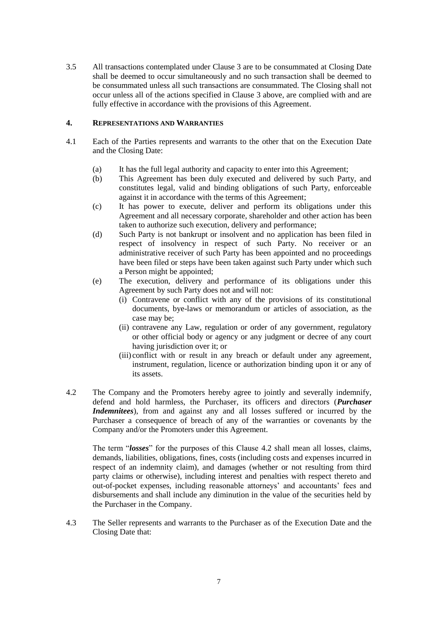3.5 All transactions contemplated under Clause [3](#page-7-0) are to be consummated at Closing Date shall be deemed to occur simultaneously and no such transaction shall be deemed to be consummated unless all such transactions are consummated. The Closing shall not occur unless all of the actions specified in Clause [3](#page-7-0) above, are complied with and are fully effective in accordance with the provisions of this Agreement.

## <span id="page-8-1"></span>**4. REPRESENTATIONS AND WARRANTIES**

- 4.1 Each of the Parties represents and warrants to the other that on the Execution Date and the Closing Date:
	- (a) It has the full legal authority and capacity to enter into this Agreement;
	- (b) This Agreement has been duly executed and delivered by such Party, and constitutes legal, valid and binding obligations of such Party, enforceable against it in accordance with the terms of this Agreement;
	- (c) It has power to execute, deliver and perform its obligations under this Agreement and all necessary corporate, shareholder and other action has been taken to authorize such execution, delivery and performance;
	- (d) Such Party is not bankrupt or insolvent and no application has been filed in respect of insolvency in respect of such Party. No receiver or an administrative receiver of such Party has been appointed and no proceedings have been filed or steps have been taken against such Party under which such a Person might be appointed;
	- (e) The execution, delivery and performance of its obligations under this Agreement by such Party does not and will not:
		- (i) Contravene or conflict with any of the provisions of its constitutional documents, bye-laws or memorandum or articles of association, as the case may be;
		- (ii) contravene any Law, regulation or order of any government, regulatory or other official body or agency or any judgment or decree of any court having jurisdiction over it; or
		- (iii) conflict with or result in any breach or default under any agreement, instrument, regulation, licence or authorization binding upon it or any of its assets.
- <span id="page-8-0"></span>4.2 The Company and the Promoters hereby agree to jointly and severally indemnify, defend and hold harmless, the Purchaser, its officers and directors (*Purchaser Indemnitees*), from and against any and all losses suffered or incurred by the Purchaser a consequence of breach of any of the warranties or covenants by the Company and/or the Promoters under this Agreement.

The term "*losses*" for the purposes of this Clause [4.2](#page-8-0) shall mean all losses, claims, demands, liabilities, obligations, fines, costs (including costs and expenses incurred in respect of an indemnity claim), and damages (whether or not resulting from third party claims or otherwise), including interest and penalties with respect thereto and out-of-pocket expenses, including reasonable attorneys' and accountants' fees and disbursements and shall include any diminution in the value of the securities held by the Purchaser in the Company.

4.3 The Seller represents and warrants to the Purchaser as of the Execution Date and the Closing Date that: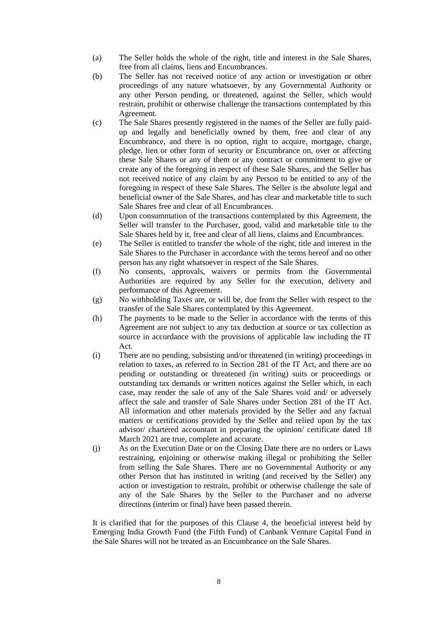- (a) The Seller holds the whole of the right, title and interest in the Sale Shares, free from all claims, liens and Encumbrances.
- (b) The Seller has not received notice of any action or investigation or other proceedings of any nature whatsoever, by any Governmental Authority or any other Person pending, or threatened, against the Seller, which would restrain, prohibit or otherwise challenge the transactions contemplated by this Agreement.
- (c) The Sale Shares presently registered in the names of the Seller are fully paidup and legally and beneficially owned by them, free and clear of any Encumbrance, and there is no option, right to acquire, mortgage, charge, pledge, lien or other form of security or Encumbrance on, over or affecting these Sale Shares or any of them or any contract or commitment to give or create any of the foregoing in respect of these Sale Shares, and the Seller has not received notice of any claim by any Person to be entitled to any of the foregoing in respect of these Sale Shares. The Seller is the absolute legal and beneficial owner of the Sale Shares, and has clear and marketable title to such Sale Shares free and clear of all Encumbrances.
- (d) Upon consummation of the transactions contemplated by this Agreement, the Seller will transfer to the Purchaser, good, valid and marketable title to the Sale Shares held by it, free and clear of all liens, claims and Encumbrances.
- (e) The Seller is entitled to transfer the whole of the right, title and interest in the Sale Shares to the Purchaser in accordance with the terms hereof and no other person has any right whatsoever in respect of the Sale Shares.
- (f) No consents, approvals, waivers or permits from the Governmental Authorities are required by any Seller for the execution, delivery and performance of this Agreement.
- (g) No withholding Taxes are, or will be, due from the Seller with respect to the transfer of the Sale Shares contemplated by this Agreement.
- (h) The payments to be made to the Seller in accordance with the terms of this Agreement are not subject to any tax deduction at source or tax collection as source in accordance with the provisions of applicable law including the IT Act.
- (i) There are no pending, subsisting and/or threatened (in writing) proceedings in relation to taxes, as referred to in Section 281 of the IT Act, and there are no pending or outstanding or threatened (in writing) suits or proceedings or outstanding tax demands or written notices against the Seller which, in each case, may render the sale of any of the Sale Shares void and/ or adversely affect the sale and transfer of Sale Shares under Section 281 of the IT Act. All information and other materials provided by the Seller and any factual matters or certifications provided by the Seller and relied upon by the tax advisor/ chartered accountant in preparing the opinion/ certificate dated 18 March 2021 are true, complete and accurate.
- (j) As on the Execution Date or on the Closing Date there are no orders or Laws restraining, enjoining or otherwise making illegal or prohibiting the Seller from selling the Sale Shares. There are no Governmental Authority or any other Person that has instituted in writing (and received by the Seller) any action or investigation to restrain, prohibit or otherwise challenge the sale of any of the Sale Shares by the Seller to the Purchaser and no adverse directions (interim or final) have been passed therein.

It is clarified that for the purposes of this Clause [4,](#page-8-1) the beneficial interest held by Emerging India Growth Fund (the Fifth Fund) of Canbank Venture Capital Fund in the Sale Shares will not be treated as an Encumbrance on the Sale Shares.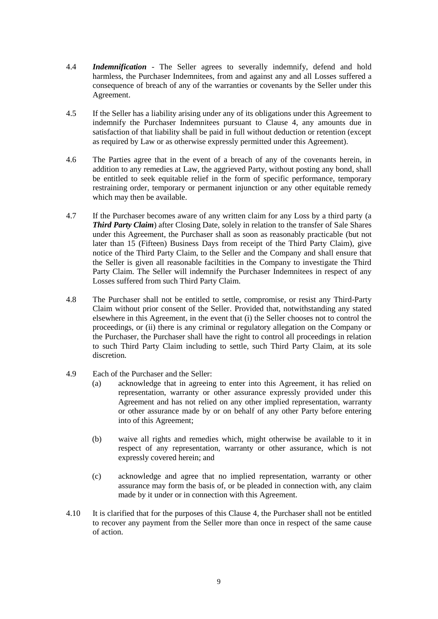- 4.4 *Indemnification* The Seller agrees to severally indemnify, defend and hold harmless, the Purchaser Indemnitees, from and against any and all Losses suffered a consequence of breach of any of the warranties or covenants by the Seller under this Agreement.
- 4.5 If the Seller has a liability arising under any of its obligations under this Agreement to indemnify the Purchaser Indemnitees pursuant to Clause [4,](#page-8-1) any amounts due in satisfaction of that liability shall be paid in full without deduction or retention (except as required by Law or as otherwise expressly permitted under this Agreement).
- 4.6 The Parties agree that in the event of a breach of any of the covenants herein, in addition to any remedies at Law, the aggrieved Party, without posting any bond, shall be entitled to seek equitable relief in the form of specific performance, temporary restraining order, temporary or permanent injunction or any other equitable remedy which may then be available.
- 4.7 If the Purchaser becomes aware of any written claim for any Loss by a third party (a *Third Party Claim*) after Closing Date, solely in relation to the transfer of Sale Shares under this Agreement, the Purchaser shall as soon as reasonably practicable (but not later than 15 (Fifteen) Business Days from receipt of the Third Party Claim), give notice of the Third Party Claim, to the Seller and the Company and shall ensure that the Seller is given all reasonable faciltities in the Company to investigate the Third Party Claim. The Seller will indemnify the Purchaser Indemnitees in respect of any Losses suffered from such Third Party Claim.
- 4.8 The Purchaser shall not be entitled to settle, compromise, or resist any Third-Party Claim without prior consent of the Seller. Provided that, notwithstanding any stated elsewhere in this Agreement, in the event that (i) the Seller chooses not to control the proceedings, or (ii) there is any criminal or regulatory allegation on the Company or the Purchaser, the Purchaser shall have the right to control all proceedings in relation to such Third Party Claim including to settle, such Third Party Claim, at its sole discretion.
- 4.9 Each of the Purchaser and the Seller:
	- (a) acknowledge that in agreeing to enter into this Agreement, it has relied on representation, warranty or other assurance expressly provided under this Agreement and has not relied on any other implied representation, warranty or other assurance made by or on behalf of any other Party before entering into of this Agreement;
	- (b) waive all rights and remedies which, might otherwise be available to it in respect of any representation, warranty or other assurance, which is not expressly covered herein; and
	- (c) acknowledge and agree that no implied representation, warranty or other assurance may form the basis of, or be pleaded in connection with, any claim made by it under or in connection with this Agreement.
- 4.10 It is clarified that for the purposes of this Clause [4,](#page-8-1) the Purchaser shall not be entitled to recover any payment from the Seller more than once in respect of the same cause of action.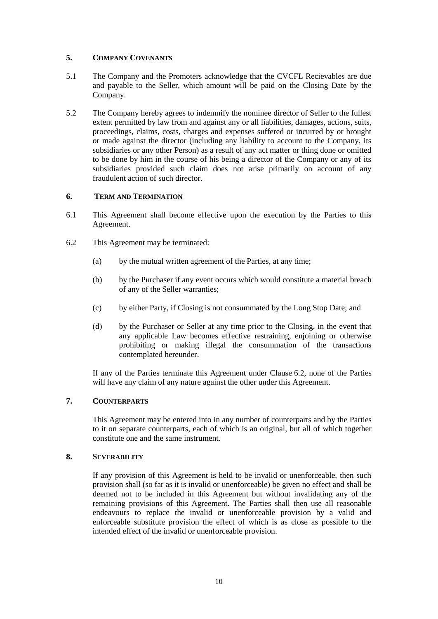## **5. COMPANY COVENANTS**

- 5.1 The Company and the Promoters acknowledge that the CVCFL Recievables are due and payable to the Seller, which amount will be paid on the Closing Date by the Company.
- 5.2 The Company hereby agrees to indemnify the nominee director of Seller to the fullest extent permitted by law from and against any or all liabilities, damages, actions, suits, proceedings, claims, costs, charges and expenses suffered or incurred by or brought or made against the director (including any liability to account to the Company, its subsidiaries or any other Person) as a result of any act matter or thing done or omitted to be done by him in the course of his being a director of the Company or any of its subsidiaries provided such claim does not arise primarily on account of any fraudulent action of such director.

## **6. TERM AND TERMINATION**

- 6.1 This Agreement shall become effective upon the execution by the Parties to this Agreement.
- <span id="page-11-0"></span>6.2 This Agreement may be terminated:
	- (a) by the mutual written agreement of the Parties, at any time;
	- (b) by the Purchaser if any event occurs which would constitute a material breach of any of the Seller warranties;
	- (c) by either Party, if Closing is not consummated by the Long Stop Date; and
	- (d) by the Purchaser or Seller at any time prior to the Closing, in the event that any applicable Law becomes effective restraining, enjoining or otherwise prohibiting or making illegal the consummation of the transactions contemplated hereunder.

If any of the Parties terminate this Agreement under Clause [6.2,](#page-11-0) none of the Parties will have any claim of any nature against the other under this Agreement.

# **7. COUNTERPARTS**

This Agreement may be entered into in any number of counterparts and by the Parties to it on separate counterparts, each of which is an original, but all of which together constitute one and the same instrument.

#### **8. SEVERABILITY**

If any provision of this Agreement is held to be invalid or unenforceable, then such provision shall (so far as it is invalid or unenforceable) be given no effect and shall be deemed not to be included in this Agreement but without invalidating any of the remaining provisions of this Agreement. The Parties shall then use all reasonable endeavours to replace the invalid or unenforceable provision by a valid and enforceable substitute provision the effect of which is as close as possible to the intended effect of the invalid or unenforceable provision.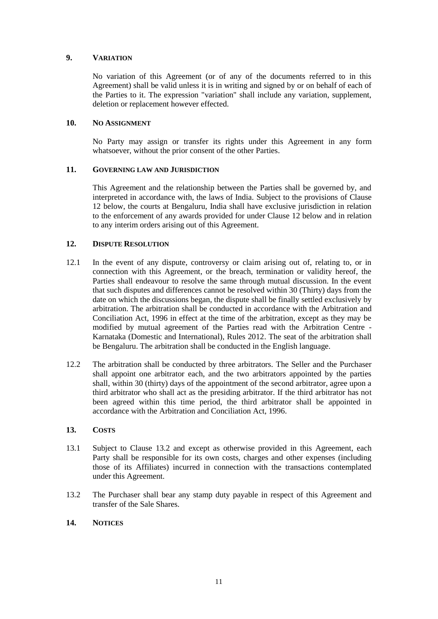## **9. VARIATION**

No variation of this Agreement (or of any of the documents referred to in this Agreement) shall be valid unless it is in writing and signed by or on behalf of each of the Parties to it. The expression "variation" shall include any variation, supplement, deletion or replacement however effected.

## 10. NO ASSIGNMENT

No Party may assign or transfer its rights under this Agreement in any form whatsoever, without the prior consent of the other Parties.

#### **11. GOVERNING LAW AND JURISDICTION**

This Agreement and the relationship between the Parties shall be governed by, and interpreted in accordance with, the laws of India. Subject to the provisions of Clause [12](#page-12-0) below, the courts at Bengaluru, India shall have exclusive jurisdiction in relation to the enforcement of any awards provided for under Clause [12](#page-12-0) below and in relation to any interim orders arising out of this Agreement.

## <span id="page-12-0"></span>**12. DISPUTE RESOLUTION**

- 12.1 In the event of any dispute, controversy or claim arising out of, relating to, or in connection with this Agreement, or the breach, termination or validity hereof, the Parties shall endeavour to resolve the same through mutual discussion. In the event that such disputes and differences cannot be resolved within 30 (Thirty) days from the date on which the discussions began, the dispute shall be finally settled exclusively by arbitration. The arbitration shall be conducted in accordance with the Arbitration and Conciliation Act, 1996 in effect at the time of the arbitration, except as they may be modified by mutual agreement of the Parties read with the Arbitration Centre - Karnataka (Domestic and International), Rules 2012. The seat of the arbitration shall be Bengaluru. The arbitration shall be conducted in the English language.
- 12.2 The arbitration shall be conducted by three arbitrators. The Seller and the Purchaser shall appoint one arbitrator each, and the two arbitrators appointed by the parties shall, within 30 (thirty) days of the appointment of the second arbitrator, agree upon a third arbitrator who shall act as the presiding arbitrator. If the third arbitrator has not been agreed within this time period, the third arbitrator shall be appointed in accordance with the Arbitration and Conciliation Act, 1996.

#### **13. COSTS**

- 13.1 Subject to Clause [13.2](#page-12-1) and except as otherwise provided in this Agreement, each Party shall be responsible for its own costs, charges and other expenses (including those of its Affiliates) incurred in connection with the transactions contemplated under this Agreement.
- <span id="page-12-1"></span>13.2 The Purchaser shall bear any stamp duty payable in respect of this Agreement and transfer of the Sale Shares.

#### **14. NOTICES**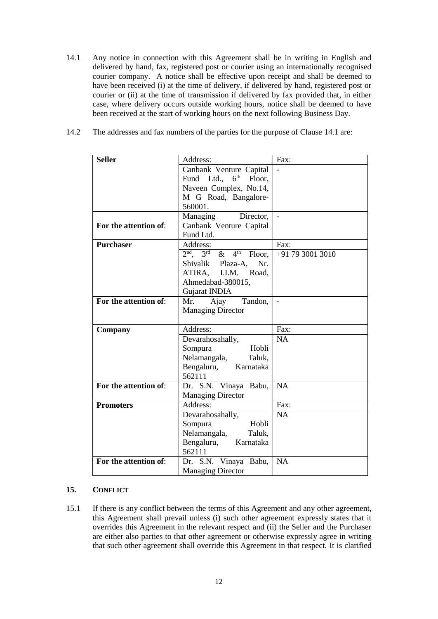- <span id="page-13-0"></span>14.1 Any notice in connection with this Agreement shall be in writing in English and delivered by hand, fax, registered post or courier using an internationally recognised courier company. A notice shall be effective upon receipt and shall be deemed to have been received (i) at the time of delivery, if delivered by hand, registered post or courier or (ii) at the time of transmission if delivered by fax provided that, in either case, where delivery occurs outside working hours, notice shall be deemed to have been received at the start of working hours on the next following Business Day.
- 14.2 The addresses and fax numbers of the parties for the purpose of Clause [14.1](#page-13-0) are:

| <b>Seller</b>         | Address:                                                        | Fax:                     |  |
|-----------------------|-----------------------------------------------------------------|--------------------------|--|
|                       | Canbank Venture Capital                                         |                          |  |
|                       | $6^{\text{th}}$<br>Fund Ltd.,<br>Floor,                         |                          |  |
|                       | Naveen Complex, No.14,                                          |                          |  |
|                       | M G Road, Bangalore-                                            |                          |  |
|                       | 560001.                                                         |                          |  |
|                       | Director,<br>Managing                                           | $\overline{\phantom{a}}$ |  |
| For the attention of: | Canbank Venture Capital                                         |                          |  |
|                       | Fund Ltd.                                                       |                          |  |
| <b>Purchaser</b>      | Address:                                                        | Fax:                     |  |
|                       | $2nd$ .<br>4 <sup>th</sup><br>3 <sup>rd</sup><br>$\&$<br>Floor, | +91 79 3001 3010         |  |
|                       | Nr.<br>Shivalik<br>Plaza-A,                                     |                          |  |
|                       | ATIRA,<br>I.I.M.<br>Road,                                       |                          |  |
|                       | Ahmedabad-380015,                                               |                          |  |
|                       | Gujarat INDIA                                                   |                          |  |
| For the attention of: | Tandon,<br>Mr.<br>Ajay                                          | $\overline{\phantom{a}}$ |  |
|                       | <b>Managing Director</b>                                        |                          |  |
|                       |                                                                 |                          |  |
| Company               | Address:                                                        | Fax:                     |  |
|                       | Devarahosahally,                                                | <b>NA</b>                |  |
|                       | Hobli<br>Sompura                                                |                          |  |
|                       | Nelamangala,<br>Taluk,                                          |                          |  |
|                       | Bengaluru,<br>Karnataka                                         |                          |  |
|                       | 562111                                                          |                          |  |
| For the attention of: | Dr. S.N. Vinaya<br>Babu,                                        | <b>NA</b>                |  |
|                       | <b>Managing Director</b>                                        |                          |  |
| <b>Promoters</b>      | Address:                                                        | Fax:                     |  |
|                       | Devarahosahally,                                                | <b>NA</b>                |  |
|                       | Hobli<br>Sompura                                                |                          |  |
|                       | Nelamangala,<br>Taluk,                                          |                          |  |
|                       | Bengaluru,<br>Karnataka                                         |                          |  |
| For the attention of: | 562111                                                          | <b>NA</b>                |  |
|                       | Dr. S.N. Vinaya Babu,                                           |                          |  |
|                       | <b>Managing Director</b>                                        |                          |  |

#### **15. CONFLICT**

15.1 If there is any conflict between the terms of this Agreement and any other agreement, this Agreement shall prevail unless (i) such other agreement expressly states that it overrides this Agreement in the relevant respect and (ii) the Seller and the Purchaser are either also parties to that other agreement or otherwise expressly agree in writing that such other agreement shall override this Agreement in that respect. It is clarified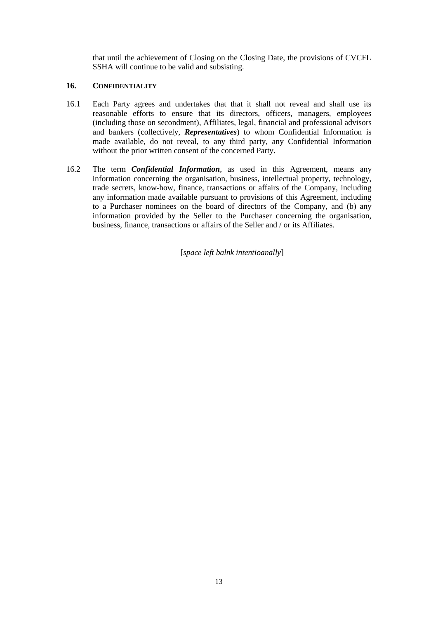that until the achievement of Closing on the Closing Date, the provisions of CVCFL SSHA will continue to be valid and subsisting.

## **16. CONFIDENTIALITY**

- 16.1 Each Party agrees and undertakes that that it shall not reveal and shall use its reasonable efforts to ensure that its directors, officers, managers, employees (including those on secondment), Affiliates, legal, financial and professional advisors and bankers (collectively, *Representatives*) to whom Confidential Information is made available, do not reveal, to any third party, any Confidential Information without the prior written consent of the concerned Party.
- 16.2 The term *Confidential Information*, as used in this Agreement, means any information concerning the organisation, business, intellectual property, technology, trade secrets, know-how, finance, transactions or affairs of the Company, including any information made available pursuant to provisions of this Agreement, including to a Purchaser nominees on the board of directors of the Company, and (b) any information provided by the Seller to the Purchaser concerning the organisation, business, finance, transactions or affairs of the Seller and / or its Affiliates.

[*space left balnk intentioanally*]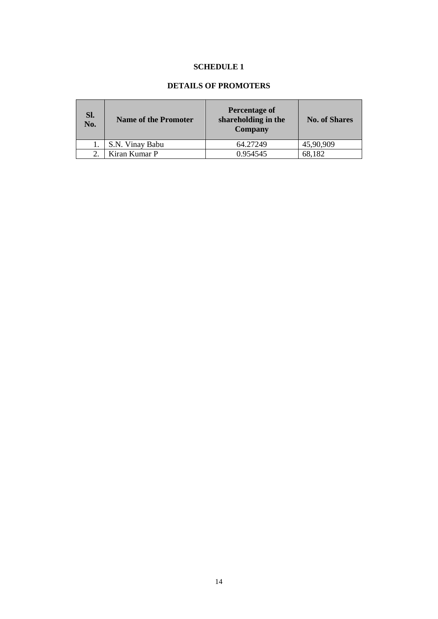## **SCHEDULE 1**

# **DETAILS OF PROMOTERS**

| Sl.<br>No. | <b>Name of the Promoter</b> | Percentage of<br>shareholding in the<br><b>Company</b> | <b>No. of Shares</b> |
|------------|-----------------------------|--------------------------------------------------------|----------------------|
|            | S.N. Vinay Babu             | 64.27249                                               | 45,90,909            |
|            | Kiran Kumar P               | 0.954545                                               | 68,182               |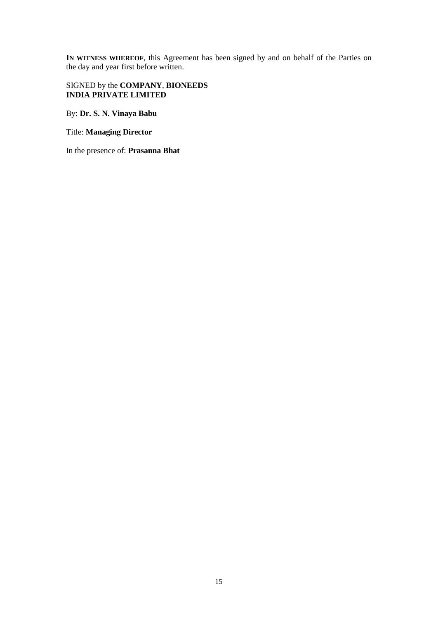**IN WITNESS WHEREOF**, this Agreement has been signed by and on behalf of the Parties on the day and year first before written.

## SIGNED by the **COMPANY**, **BIONEEDS INDIA PRIVATE LIMITED**

By: **Dr. S. N. Vinaya Babu**

#### Title: **Managing Director**

In the presence of: **Prasanna Bhat**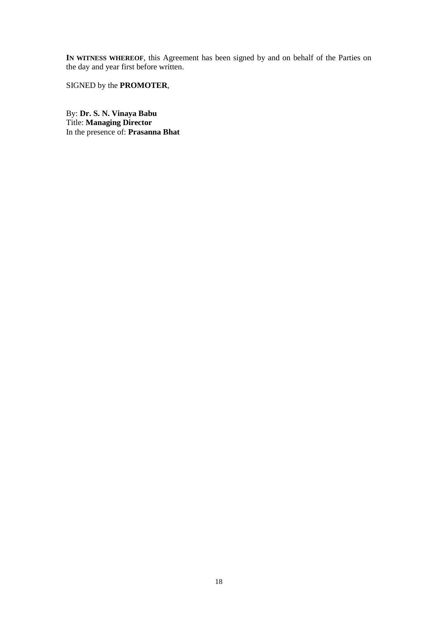**IN WITNESS WHEREOF**, this Agreement has been signed by and on behalf of the Parties on the day and year first before written.

SIGNED by the **PROMOTER**,

By: **Dr. S. N. Vinaya Babu** Title: **Managing Director** In the presence of: **Prasanna Bhat**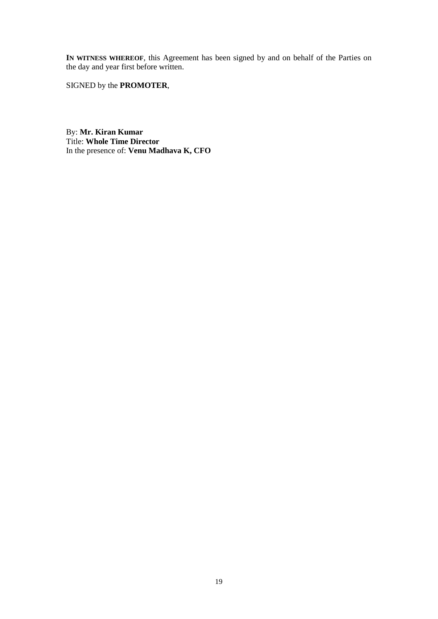**IN WITNESS WHEREOF**, this Agreement has been signed by and on behalf of the Parties on the day and year first before written.

SIGNED by the **PROMOTER**,

By: **Mr. Kiran Kumar** Title: **Whole Time Director** In the presence of: **Venu Madhava K, CFO**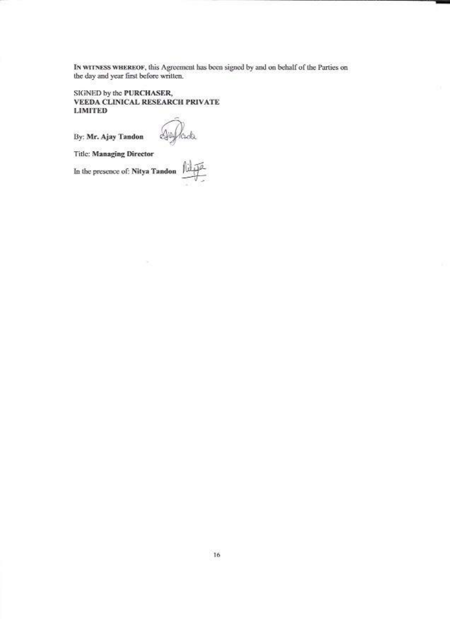IN WITNESS WHEREOF, this Agreement has been signed by and on behalf of the Parties on the day and year first before written.

SIGNED by the PURCHASER, VEEDA CLINICAL RESEARCH PRIVATE **LIMITED** 

By: Mr. Ajay Tandon  $\bigotimes_{i=1}^n C_i \bigotimes_{i=1}^n C_i$ <br>Title: Managing Director<br>In the presence of: Nitya Tandon  $\bigoplus_{i=1}^n C_i$